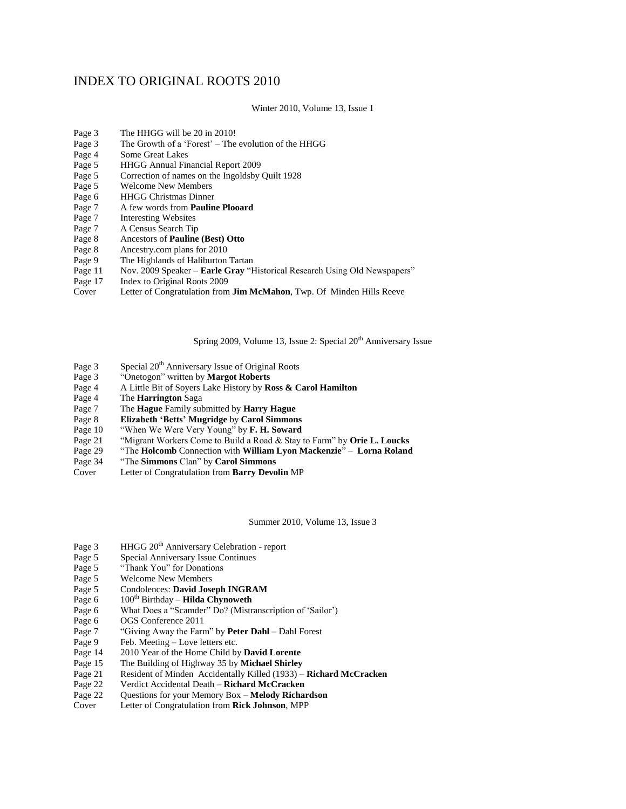## INDEX TO ORIGINAL ROOTS 2010

Winter 2010, Volume 13, Issue 1

- Page 3 The HHGG will be 20 in 2010!
- Page 3 The Growth of a 'Forest' The evolution of the HHGG
- Page 4 Some Great Lakes
- Page 5 HHGG Annual Financial Report 2009
- Page 5 Correction of names on the Ingoldsby Quilt 1928
- Page 5 Welcome New Members
- Page 6 HHGG Christmas Dinner
- Page 7 A few words from **Pauline Plooard**
- Page 7 Interesting Websites<br>Page 7 A Census Search Tip
- Page 7 A Census Search Tip<br>Page 8 Ancestors of **Pauline**
- Ancestors of **Pauline (Best) Otto**
- Page 8 Ancestry.com plans for 2010<br>Page 9 The Highlands of Haliburton
- The Highlands of Haliburton Tartan
- Page 11 Nov. 2009 Speaker **Earle Gray** "Historical Research Using Old Newspapers"
- Page 17 Index to Original Roots 2009<br>Cover Letter of Congratulation from
- Letter of Congratulation from **Jim McMahon**, Twp. Of Minden Hills Reeve

Spring 2009, Volume 13, Issue 2: Special  $20<sup>th</sup>$  Anniversary Issue

- Page 3 Special 20<sup>th</sup> Anniversary Issue of Original Roots
- Page 3 "Onetogon" written by **Margot Roberts**
- Page 4 A Little Bit of Soyers Lake History by **Ross & Carol Hamilton**
- Page 4 The **Harrington** Saga
- Page 7 The **Hague** Family submitted by **Harry Hague**
- Page 8 **Elizabeth 'Betts' Mugridge** by **Carol Simmons**
- Page 10 "When We Were Very Young" by **F. H. Soward**
- Page 21 "Migrant Workers Come to Build a Road & Stay to Farm" by **Orie L. Loucks**
- Page 29 "The **Holcomb** Connection with **William Lyon Mackenzie**" **Lorna Roland**
- "The **Simmons** Clan" by **Carol Simmons**
- Cover Letter of Congratulation from **Barry Devolin** MP

Summer 2010, Volume 13, Issue 3

- Page 3 HHGG 20<sup>th</sup> Anniversary Celebration report<br>Page 5 Special Anniversary Issue Continues
- Page 5 Special Anniversary Issue Continues<br>Page 5 "Thank You" for Donations
- Page 5 "Thank You" for Donations<br>Page 5 Welcome New Members
- 
- Page 5 Welcome New Members<br>Page 5 Condolences: David Jose **Condolences: David Joseph INGRAM**
- Page 6 100<sup>th</sup> Birthday **Hilda Chynoweth**
- Page 6 What Does a "Scamder" Do? (Mistranscription of 'Sailor')
- Page 6 OGS Conference 2011
- Page 7 "Giving Away the Farm" by **Peter Dahl** Dahl Forest
- Page 9 Feb. Meeting Love letters etc.
- Page 14 2010 Year of the Home Child by **David Lorente**
- Page 15 The Building of Highway 35 by **Michael Shirley**
- Page 21 Resident of Minden Accidentally Killed (1933) **Richard McCracken**
- Page 22 Verdict Accidental Death **Richard McCracken**
- Page 22 Questions for your Memory Box **Melody Richardson**
- Cover Letter of Congratulation from **Rick Johnson**, MPP